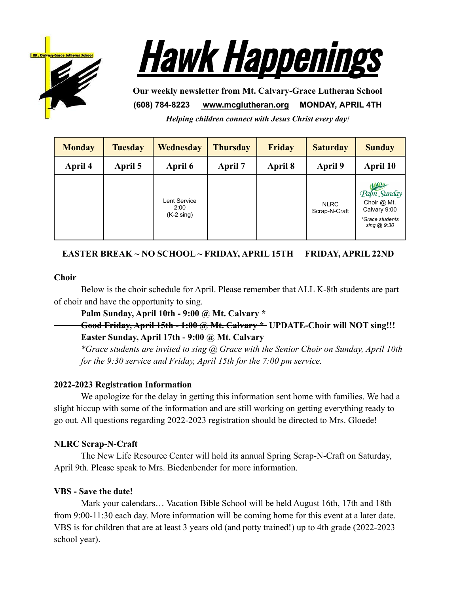



**Our weekly newsletter from Mt. Calvary-Grace Lutheran School (608) 784-8223 [www.mcglutheran.org](http://www.mcglutheran.org/) MONDAY, APRIL 4TH**

*Helping children connect with Jesus Christ every day!*

| <b>Monday</b> | <b>Tuesday</b> | <b>Wednesday</b>                             | <b>Thursday</b> | <b>Friday</b> | <b>Saturday</b>              | <b>Sunday</b>                                                                                |
|---------------|----------------|----------------------------------------------|-----------------|---------------|------------------------------|----------------------------------------------------------------------------------------------|
| April 4       | April 5        | April 6                                      | April 7         | April 8       | April 9                      | April 10                                                                                     |
|               |                | Lent Service<br>2:00<br>$(K-2 \text{ sing})$ |                 |               | <b>NLRC</b><br>Scrap-N-Craft | <b>VALUAD</b><br>Pam Sunday<br>Choir @ Mt.<br>Calvary 9:00<br>*Grace students<br>sing @ 9:30 |

# **EASTER BREAK ~ NO SCHOOL ~ FRIDAY, APRIL 15TH FRIDAY, APRIL 22ND**

#### **Choir**

Below is the choir schedule for April. Please remember that ALL K-8th students are part of choir and have the opportunity to sing.

**Palm Sunday, April 10th - 9:00 @ Mt. Calvary \***

**Good Friday, April 15th - 1:00 @ Mt. Calvary \* UPDATE-Choir will NOT sing!!! Easter Sunday, April 17th - 9:00 @ Mt. Calvary**

*\*Grace students are invited to sing @ Grace with the Senior Choir on Sunday, April 10th for the 9:30 service and Friday, April 15th for the 7:00 pm service.*

#### **2022-2023 Registration Information**

We apologize for the delay in getting this information sent home with families. We had a slight hiccup with some of the information and are still working on getting everything ready to go out. All questions regarding 2022-2023 registration should be directed to Mrs. Gloede!

#### **NLRC Scrap-N-Craft**

The New Life Resource Center will hold its annual Spring Scrap-N-Craft on Saturday, April 9th. Please speak to Mrs. Biedenbender for more information.

#### **VBS - Save the date!**

Mark your calendars… Vacation Bible School will be held August 16th, 17th and 18th from 9:00-11:30 each day. More information will be coming home for this event at a later date. VBS is for children that are at least 3 years old (and potty trained!) up to 4th grade (2022-2023 school year).